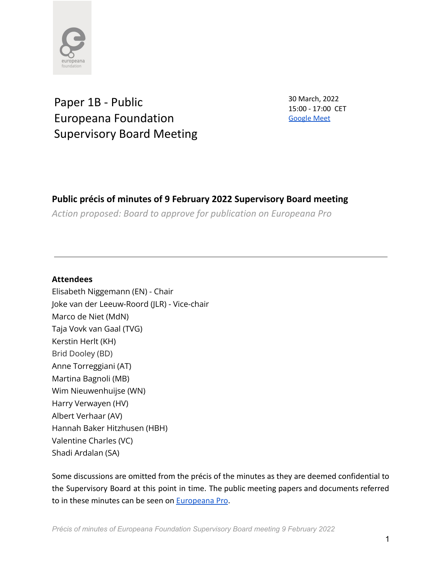

Paper 1B - Public Europeana Foundation Supervisory Board Meeting 30 March, 2022 15:00 - 17:00 CET [Google](http://meet.google.com/xsc-bhhh-nof) Meet

# **Public précis of minutes of 9 February 2022 Supervisory Board meeting**

*Action proposed: Board to approve for publication on Europeana Pro*

# **Attendees**

Elisabeth Niggemann (EN) - Chair Joke van der Leeuw-Roord (JLR) - Vice-chair Marco de Niet (MdN) Taja Vovk van Gaal (TVG) Kerstin Herlt (KH) Brid Dooley (BD) Anne Torreggiani (AT) Martina Bagnoli (MB) Wim Nieuwenhuijse (WN) Harry Verwayen (HV) Albert Verhaar (AV) Hannah Baker Hitzhusen (HBH) Valentine Charles (VC) Shadi Ardalan (SA)

Some discussions are omitted from the précis of the minutes as they are deemed confidential to the Supervisory Board at this point in time. The public meeting papers and documents referred to in these minutes can be seen on [Europeana Pro](https://pro.europeana.eu/about-us/foundation).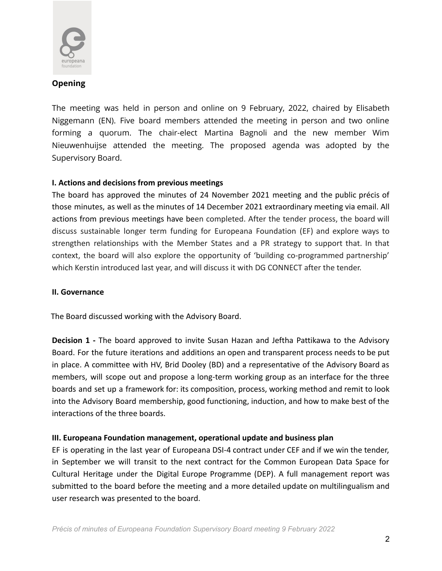

## **Opening**

The meeting was held in person and online on 9 February, 2022, chaired by Elisabeth Niggemann (EN). Five board members attended the meeting in person and two online forming a quorum. The chair-elect Martina Bagnoli and the new member Wim Nieuwenhuijse attended the meeting. The proposed agenda was adopted by the Supervisory Board.

# **I. Actions and decisions from previous meetings**

The board has approved the minutes of 24 November 2021 meeting and the public précis of those minutes, as well as the minutes of 14 December 2021 extraordinary meeting via email. All actions from previous meetings have been completed. After the tender process, the board will discuss sustainable longer term funding for Europeana Foundation (EF) and explore ways to strengthen relationships with the Member States and a PR strategy to support that. In that context, the board will also explore the opportunity of 'building co-programmed partnership' which Kerstin introduced last year, and will discuss it with DG CONNECT after the tender.

### **II. Governance**

The Board discussed working with the Advisory Board.

**Decision 1 -** The board approved to invite Susan Hazan and Jeftha Pattikawa to the Advisory Board. For the future iterations and additions an open and transparent process needs to be put in place. A committee with HV, Brid Dooley (BD) and a representative of the Advisory Board as members, will scope out and propose a long-term working group as an interface for the three boards and set up a framework for: its composition, process, working method and remit to look into the Advisory Board membership, good functioning, induction, and how to make best of the interactions of the three boards.

# **III. Europeana Foundation management, operational update and business plan**

EF is operating in the last year of Europeana DSI-4 contract under CEF and if we win the tender, in September we will transit to the next contract for the Common European Data Space for Cultural Heritage under the Digital Europe Programme (DEP). A full management report was submitted to the board before the meeting and a more detailed update on multilingualism and user research was presented to the board.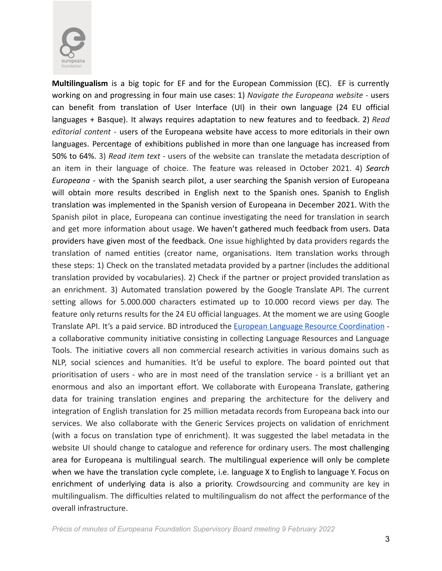

**Multilingualism** is a big topic for EF and for the European Commission (EC). EF is currently working on and progressing in four main use cases: 1) *Navigate the Europeana website* - users can benefit from translation of User Interface (UI) in their own language (24 EU official languages + Basque). It always requires adaptation to new features and to feedback. 2) *Read editorial content* - users of the Europeana website have access to more editorials in their own languages. Percentage of exhibitions published in more than one language has increased from 50% to 64%. 3) *Read item text* - users of the website can translate the metadata description of an item in their language of choice. The feature was released in October 2021. 4) *Search Europeana* - with the Spanish search pilot, a user searching the Spanish version of Europeana will obtain more results described in English next to the Spanish ones. Spanish to English translation was implemented in the Spanish version of Europeana in December 2021. With the Spanish pilot in place, Europeana can continue investigating the need for translation in search and get more information about usage. We haven't gathered much feedback from users. Data providers have given most of the feedback. One issue highlighted by data providers regards the translation of named entities (creator name, organisations. Item translation works through these steps: 1) Check on the translated metadata provided by a partner (includes the additional translation provided by vocabularies). 2) Check if the partner or project provided translation as an enrichment. 3) Automated translation powered by the Google Translate API. The current setting allows for 5.000.000 characters estimated up to 10.000 record views per day. The feature only returns results for the 24 EU official languages. At the moment we are using Google Translate API. It's a paid service. BD introduced the European Language Resource [Coordination](https://www.lr-coordination.eu/resources) a collaborative community initiative consisting in collecting Language Resources and Language Tools. The initiative covers all non commercial research activities in various domains such as NLP, social sciences and humanities. It'd be useful to explore. The board pointed out that prioritisation of users - who are in most need of the translation service - is a brilliant yet an enormous and also an important effort. We collaborate with Europeana Translate, gathering data for training translation engines and preparing the architecture for the delivery and integration of English translation for 25 million metadata records from Europeana back into our services. We also collaborate with the Generic Services projects on validation of enrichment (with a focus on translation type of enrichment). It was suggested the label metadata in the website UI should change to catalogue and reference for ordinary users. The most challenging area for Europeana is multilingual search. The multilingual experience will only be complete when we have the translation cycle complete, i.e. language X to English to language Y. Focus on enrichment of underlying data is also a priority. Crowdsourcing and community are key in multilingualism. The difficulties related to multilingualism do not affect the performance of the overall infrastructure.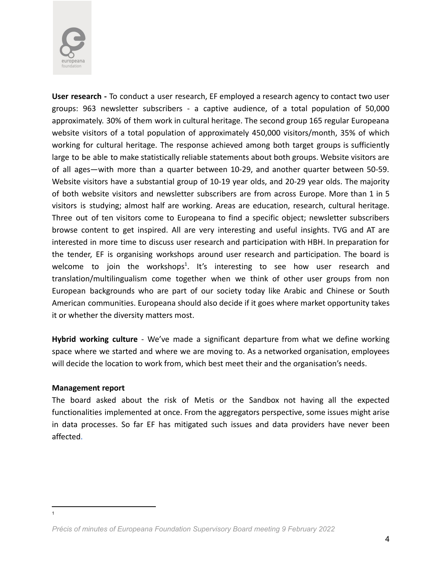

**User research -** To conduct a user research, EF employed a research agency to contact two user groups: 963 newsletter subscribers - a captive audience, of a total population of 50,000 approximately. 30% of them work in cultural heritage. The second group 165 regular Europeana website visitors of a total population of approximately 450,000 visitors/month, 35% of which working for cultural heritage. The response achieved among both target groups is sufficiently large to be able to make statistically reliable statements about both groups. Website visitors are of all ages—with more than a quarter between 10-29, and another quarter between 50-59. Website visitors have a substantial group of 10-19 year olds, and 20-29 year olds. The majority of both website visitors and newsletter subscribers are from across Europe. More than 1 in 5 visitors is studying; almost half are working. Areas are education, research, cultural heritage. Three out of ten visitors come to Europeana to find a specific object; newsletter subscribers browse content to get inspired. All are very interesting and useful insights. TVG and AT are interested in more time to discuss user research and participation with HBH. In preparation for the tender, EF is organising workshops around user research and participation. The board is welcome to join the workshops<sup>1</sup>. It's interesting to see how user research and translation/multilingualism come together when we think of other user groups from non European backgrounds who are part of our society today like Arabic and Chinese or South American communities. Europeana should also decide if it goes where market opportunity takes it or whether the diversity matters most.

**Hybrid working culture** - We've made a significant departure from what we define working space where we started and where we are moving to. As a networked organisation, employees will decide the location to work from, which best meet their and the organisation's needs.

#### **Management report**

1

The board asked about the risk of Metis or the Sandbox not having all the expected functionalities implemented at once. From the aggregators perspective, some issues might arise in data processes. So far EF has mitigated such issues and data providers have never been affected.

*Précis of minutes of Europeana Foundation Supervisory Board meeting 9 February 2022*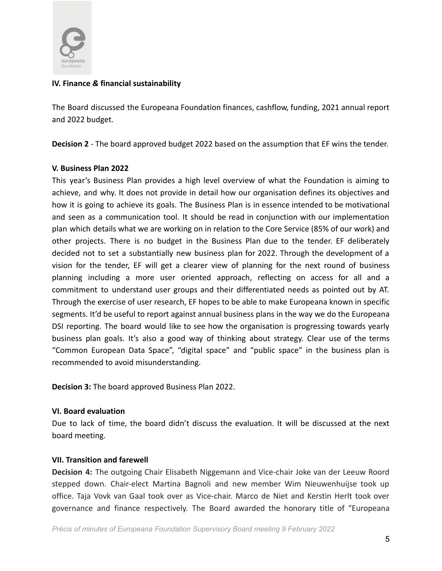

## **IV. Finance** *&* **financial sustainability**

The Board discussed the Europeana Foundation finances, cashflow, funding, 2021 annual report and 2022 budget.

**Decision 2** - The board approved budget 2022 based on the assumption that EF wins the tender.

#### **V. Business Plan 2022**

This year's Business Plan provides a high level overview of what the Foundation is aiming to achieve, and why. It does not provide in detail how our organisation defines its objectives and how it is going to achieve its goals. The Business Plan is in essence intended to be motivational and seen as a communication tool. It should be read in conjunction with our implementation plan which details what we are working on in relation to the Core Service (85% of our work) and other projects. There is no budget in the Business Plan due to the tender. EF deliberately decided not to set a substantially new business plan for 2022. Through the development of a vision for the tender, EF will get a clearer view of planning for the next round of business planning including a more user oriented approach, reflecting on access for all and a commitment to understand user groups and their differentiated needs as pointed out by AT. Through the exercise of user research, EF hopes to be able to make Europeana known in specific segments. It'd be useful to report against annual business plans in the way we do the Europeana DSI reporting. The board would like to see how the organisation is progressing towards yearly business plan goals. It's also a good way of thinking about strategy. Clear use of the terms "Common European Data Space", "digital space" and "public space" in the business plan is recommended to avoid misunderstanding.

**Decision 3:** The board approved Business Plan 2022.

#### **VI. Board evaluation**

Due to lack of time, the board didn't discuss the evaluation. It will be discussed at the next board meeting.

### **VII. Transition and farewell**

**Decision 4:** The outgoing Chair Elisabeth Niggemann and Vice-chair Joke van der Leeuw Roord stepped down. Chair-elect Martina Bagnoli and new member Wim Nieuwenhuijse took up office. Taja Vovk van Gaal took over as Vice-chair. Marco de Niet and Kerstin Herlt took over governance and finance respectively. The Board awarded the honorary title of "Europeana